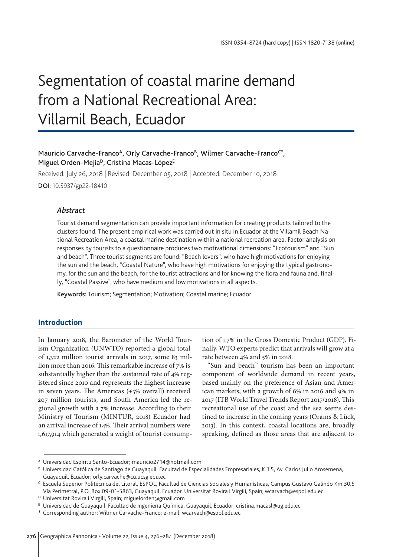# Segmentation of coastal marine demand from a National Recreational Area: Villamil Beach, Ecuador

# Mauricio Carvache-Franco<sup>A</sup>, Orly Carvache-Franco<sup>B</sup>, Wilmer Carvache-Franco<sup>c\*</sup>, Miguel Orden-Mejía<sup>D</sup>, Cristina Macas-López<sup>E</sup>

Received: July 26, 2018 | Revised: December 05, 2018 | Accepted: December 10, 2018 DOI: 10.5937/gp22-18410

# *Abstract*

Tourist demand segmentation can provide important information for creating products tailored to the clusters found. The present empirical work was carried out in situ in Ecuador at the Villamil Beach National Recreation Area, a coastal marine destination within a national recreation area. Factor analysis on responses by tourists to a questionnaire produces two motivational dimensions: "Ecotourism" and "Sun and beach". Three tourist segments are found: "Beach lovers", who have high motivations for enjoying the sun and the beach, "Coastal Nature", who have high motivations for enjoying the typical gastronomy, for the sun and the beach, for the tourist attractions and for knowing the flora and fauna and, finally, "Coastal Passive", who have medium and low motivations in all aspects.

Keywords: Tourism; Segmentation; Motivation; Coastal marine; Ecuador

### **Introduction**

In January 2018, the Barometer of the World Tourism Organization (UNWTO) reported a global total of 1,322 million tourist arrivals in 2017, some 83 million more than 2016. This remarkable increase of 7% is substantially higher than the sustained rate of 4% registered since 2010 and represents the highest increase in seven years. The Americas (+3% overall) received 207 million tourists, and South America led the regional growth with a 7% increase. According to their Ministry of Tourism (MINTUR, 2018) Ecuador had an arrival increase of 14%. Their arrival numbers were 1,617,914 which generated a weight of tourist consumption of 1.7% in the Gross Domestic Product (GDP). Finally, WTO experts predict that arrivals will grow at a rate between 4% and 5% in 2018.

"Sun and beach" tourism has been an important component of worldwide demand in recent years, based mainly on the preference of Asian and American markets, with a growth of 6% in 2016 and 9% in 2017 (ITB World Travel Trends Report 2017/2018). This recreational use of the coast and the sea seems destined to increase in the coming years (Orams & Lück, 2013). In this context, coastal locations are, broadly speaking, defined as those areas that are adjacent to

<sup>A</sup> Universidad Espíritu Santo-Ecuador; mauricio2714@hotmail.com

B Universidad Católica de Santiago de Guayaquil. Facultad de Especialidades Empresariales, K 1.5, Av. Carlos Julio Arosemena, Guayaquil, Ecuador; orly.carvache@cu.ucsg.edu.ec

<sup>C</sup> Escuela Superior Politécnica del Litoral, ESPOL, Facultad de Ciencias Sociales y Humanísticas, Campus Gustavo Galindo Km 30.5 Vía Perimetral, P.O. Box 09-01-5863, Guayaquil, Ecuador. Universitat Rovira i Virgili, Spain; wcarvach@espol.edu.ec

<sup>D</sup> Universitat Rovira i Virgili, Spain; miguelorden@gmail.com

<sup>E</sup> Universidad de Guayaquil. Facultad de Ingeniería Química, Guayaquil, Ecuador; cristina.macasl@ug.edu.ec

<sup>\*</sup> Corresponding author: Wilmer Carvache-Franco; e-mail: wcarvach@espol.edu.ec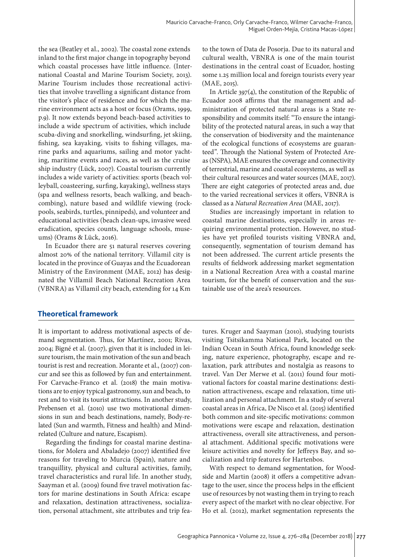the sea (Beatley et al., 2002). The coastal zone extends inland to the first major change in topography beyond which coastal processes have little influence. (International Coastal and Marine Tourism Society, 2013). Marine Tourism includes those recreational activities that involve travelling a significant distance from the visitor's place of residence and for which the marine environment acts as a host or focus (Orams, 1999, p.9). It now extends beyond beach-based activities to include a wide spectrum of activities, which include scuba-diving and snorkelling, windsurfing, jet skiing, fishing, sea kayaking, visits to fishing villages, marine parks and aquariums, sailing and motor yachting, maritime events and races, as well as the cruise ship industry (Lück, 2007). Coastal tourism currently includes a wide variety of activities: sports (beach volleyball, coasteering, surfing, kayaking), wellness stays (spa and wellness resorts, beach walking, and beachcombing), nature based and wildlife viewing (rockpools, seabirds, turtles, pinnipeds), and volunteer and educational activities (beach clean-ups, invasive weed eradication, species counts, language schools, museums) (Orams & Lück, 2016).

In Ecuador there are 51 natural reserves covering almost 20% of the national territory. Villamil city is located in the province of Guayas and the Ecuadorean Ministry of the Environment (MAE, 2012) has designated the Villamil Beach National Recreation Area (VBNRA) as Villamil city beach, extending for 14 Km

to the town of Data de Posorja. Due to its natural and cultural wealth, VBNRA is one of the main tourist destinations in the central coast of Ecuador, hosting some 1.25 million local and foreign tourists every year (MAE, 2015).

In Article 397(4), the constitution of the Republic of Ecuador 2008 affirms that the management and administration of protected natural areas is a State responsibility and commits itself: "To ensure the intangibility of the protected natural areas, in such a way that the conservation of biodiversity and the maintenance of the ecological functions of ecosystems are guaranteed". Through the National System of Protected Areas (NSPA), MAE ensures the coverage and connectivity of terrestrial, marine and coastal ecosystems, as well as their cultural resources and water sources (MAE, 2017). There are eight categories of protected areas and, due to the varied recreational services it offers, VBNRA is classed as a *Natural Recreation Area* (MAE, 2017).

Studies are increasingly important in relation to coastal marine destinations, especially in areas requiring environmental protection. However, no studies have yet profiled tourists visiting VBNRA and, consequently, segmentation of tourism demand has not been addressed. The current article presents the results of fieldwork addressing market segmentation in a National Recreation Area with a coastal marine tourism, for the benefit of conservation and the sustainable use of the area's resources.

# **Theoretical framework**

It is important to address motivational aspects of demand segmentation. Thus, for Martínez, 2001; Rivas, 2004; Bigné et al. (2007), given that it is included in leisure tourism, the main motivation of the sun and beach tourist is rest and recreation. Morante et al., (2007) concur and see this as followed by fun and entertainment. For Carvache-Franco et al. (2018) the main motivations are to enjoy typical gastronomy, sun and beach, to rest and to visit its tourist attractions. In another study, Prebensen et al. (2010) use two motivational dimensions in sun and beach destinations, namely, Body-related (Sun and warmth, Fitness and health) and Mindrelated (Culture and nature, Escapism).

Regarding the findings for coastal marine destinations, for Molera and Abaladejo (2007) identified five reasons for traveling to Murcia (Spain), nature and tranquillity, physical and cultural activities, family, travel characteristics and rural life. In another study, Saayman et al. (2009) found five travel motivation factors for marine destinations in South Africa: escape and relaxation, destination attractiveness, socialization, personal attachment, site attributes and trip features. Kruger and Saayman (2010), studying tourists visiting Tsitsikamma National Park, located on the Indian Ocean in South Africa, found knowledge seeking, nature experience, photography, escape and relaxation, park attributes and nostalgia as reasons to travel. Van Der Merwe et al. (2011) found four motivational factors for coastal marine destinations: destination attractiveness, escape and relaxation, time utilization and personal attachment. In a study of several coastal areas in Africa, De Nisco et al. (2015) identified both common and site-specific motivations: common motivations were escape and relaxation, destination attractiveness, overall site attractiveness, and personal attachment. Additional specific motivations were leisure activities and novelty for Jeffreys Bay, and socialization and trip features for Hartenbos.

With respect to demand segmentation, for Woodside and Martin (2008) it offers a competitive advantage to the user, since the process helps in the efficient use of resources by not wasting them in trying to reach every aspect of the market with no clear objective. For Ho et al. (2012), market segmentation represents the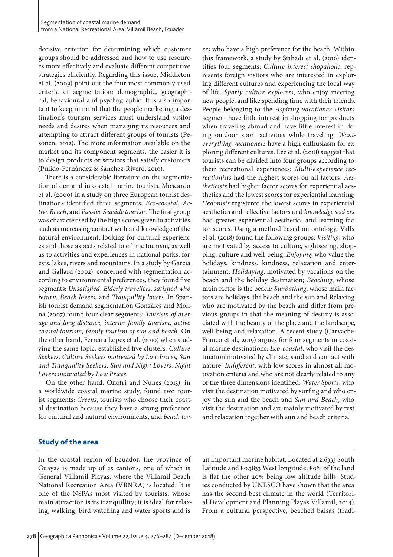decisive criterion for determining which customer groups should be addressed and how to use resources more effectively and evaluate different competitive strategies efficiently. Regarding this issue, Middleton et al. (2009) point out the four most commonly used criteria of segmentation: demographic, geographical, behavioural and psychographic. It is also important to keep in mind that the people marketing a destination's tourism services must understand visitor needs and desires when managing its resources and attempting to attract different groups of tourists (Pesonen, 2012). The more information available on the market and its component segments, the easier it is to design products or services that satisfy customers (Pulido-Fernández & Sánchez-Rivero, 2010).

There is a considerable literature on the segmentation of demand in coastal marine tourists. Moscardo et al. (2000) in a study on three European tourist destinations identified three segments, *Eco-coastal, Active Beach*, and *Passive Seaside tourists.* The first group was characterised by the high scores given to activities, such as increasing contact with and knowledge of the natural environment, looking for cultural experiences and those aspects related to ethnic tourism, as well as to activities and experiences in national parks, forests, lakes, rivers and mountains. In a study by Garcia and Gallard (2002), concerned with segmentation according to environmental preferences, they found five segments: *Unsatisfied, Elderly travellers, satisfied who return, Beach lovers,* and *Tranquillity lovers.* In Spanish tourist demand segmentation Gonzáles and Molina (2007) found four clear segments: *Tourism of average and long distance, interior family tourism, active coastal tourism, family tourism of sun and beach.* On the other hand, Ferreira Lopes et al. (2010) when studying the same topic, established five clusters: *Culture Seekers, Culture Seekers motivated by Low Prices, Sun and Tranquillity Seekers, Sun and Night Lovers, Night Lovers motivated by Low Prices.* 

On the other hand, Onofri and Nunes (2013), in a worldwide coastal marine study, found two tourist segments: *Greens*, tourists who choose their coastal destination because they have a strong preference for cultural and natural environments, and *beach lov-* *ers* who have a high preference for the beach. Within this framework, a study by Srihadi et al. (2016) identifies four segments: *Culture interest shopaholic*, represents foreign visitors who are interested in exploring different cultures and experiencing the local way of life. *Sporty culture explorers*, who enjoy meeting new people, and like spending time with their friends. People belonging to the *Aspiring vacationer visitors*  segment have little interest in shopping for products when traveling abroad and have little interest in doing outdoor sport activities while traveling. *Wanteverything vacationers* have a high enthusiasm for exploring different cultures. Lee et al. (2018) suggest that tourists can be divided into four groups according to their recreational experiences: *Multi-experience recreationists* had the highest scores on all factors; *Aestheticists* had higher factor scores for experiential aesthetics and the lowest scores for experiential learning; *Hedonists* registered the lowest scores in experiential aesthetics and reflective factors and *knowledge seekers* had greater experiential aesthetics and learning factor scores. Using a method based on ontology, Valls et al. (2018) found the following groups: *Visiting*, who are motivated by access to culture, sightseeing, shopping, culture and well-being; *Enjoying*, who value the holidays, kindness, kindness, relaxation and entertainment; *Holidaying*, motivated by vacations on the beach and the holiday destination; *Beaching*, whose main factor is the beach; *Sunbathing*, whose main factors are holidays, the beach and the sun and Relaxing who are motivated by the beach and differ from previous groups in that the meaning of destiny is associated with the beauty of the place and the landscape, well-being and relaxation. A recent study (Carvache-Franco et al., 2019) argues for four segments in coastal marine destinations: *Eco-coastal*, who visit the destination motivated by climate, sand and contact with nature; *Indifferent*, with low scores in almost all motivation criteria and who are not clearly related to any of the three dimensions identified; *Water Sports*, who visit the destination motivated by surfing and who enjoy the sun and the beach and *Sun and Beach*, who visit the destination and are mainly motivated by rest and relaxation together with sun and beach criteria.

# **Study of the area**

In the coastal region of Ecuador, the province of Guayas is made up of 25 cantons, one of which is General Villamil Playas, where the Villamil Beach National Recreation Area (VBNRA) is located. It is one of the NSPAs most visited by tourists, whose main attraction is its tranquillity; it is ideal for relaxing, walking, bird watching and water sports and is

an important marine habitat. Located at 2.6333 South Latitude and 80.3833 West longitude, 80% of the land is flat the other 20% being low altitude hills. Studies conducted by UNESCO have shown that the area has the second-best climate in the world (Territorial Development and Planning Playas Villamil, 2014). From a cultural perspective, beached balsas (tradi-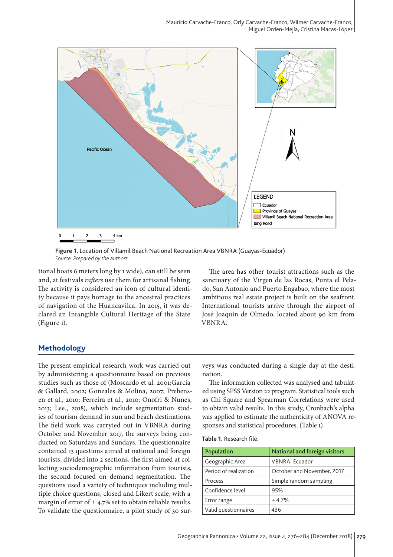

**Figure 1.** Location of Villamil Beach National Recreation Area VBNRA (Guayas-Ecuador) *Source: Prepared by the authors*

tional boats 6 meters long by 1 wide), can still be seen and, at festivals *rafters* use them for artisanal fishing. The activity is considered an icon of cultural identity because it pays homage to the ancestral practices of navigation of the Huancavilca. In 2015, it was declared an Intangible Cultural Heritage of the State (Figure 1).

The area has other tourist attractions such as the sanctuary of the Virgen de las Rocas, Punta el Pelado, San Antonio and Puerto Engabao, where the most ambitious real estate project is built on the seafront. International tourists arrive through the airport of José Joaquín de Olmedo, located about 90 km from VBNRA.

# **Methodology**

The present empirical research work was carried out by administering a questionnaire based on previous studies such as those of (Moscardo et al. 2001;Garcia & Gallard, 2002; Gonzales & Molina, 2007; Prebensen et al., 2010; Ferreira et al., 2010; Onofri & Nunes, 2013; Lee., 2018), which include segmentation studies of tourism demand in sun and beach destinations. The field work was carryied out in VBNRA during October and November 2017, the surveys being conducted on Saturdays and Sundays. The questionnaire contained 13 questions aimed at national and foreign tourists, divided into 2 sections, the first aimed at collecting sociodemographic information from tourists, the second focused on demand segmentation. The questions used a variety of techniques including multiple choice questions, closed and Likert scale, with a margin of error of  $\pm$  4.7% set to obtain reliable results. To validate the questionnaire, a pilot study of 30 surveys was conducted during a single day at the destination.

The information collected was analysed and tabulated using SPSS Version 22 program. Statistical tools such as Chi Square and Spearman Correlations were used to obtain valid results. In this study, Cronbach's alpha was applied to estimate the authenticity of ANOVA responses and statistical procedures. (Table 1)

|  | <b>Table 1</b> . Research file. |  |
|--|---------------------------------|--|
|--|---------------------------------|--|

| Population            | <b>National and foreign visitors</b> |
|-----------------------|--------------------------------------|
| Geographic Area       | VBNRA, Ecuador                       |
| Period of realization | October and November, 2017           |
| Process               | Simple random sampling               |
| Confidence level      | 95%                                  |
| Error range           | $+4.7%$                              |
| Valid questionnaires  | 436                                  |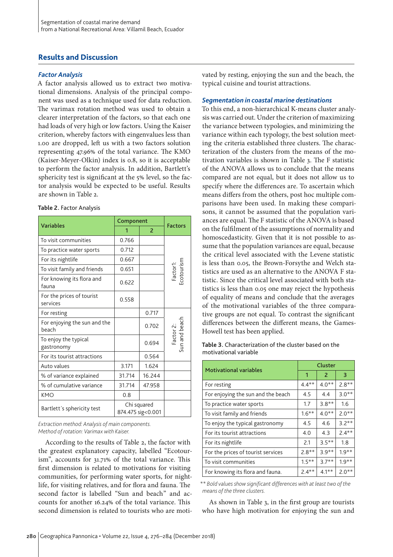# **Results and Discussion**

## *Factor Analysis*

A factor analysis allowed us to extract two motivational dimensions. Analysis of the principal component was used as a technique used for data reduction. The varimax rotation method was used to obtain a clearer interpretation of the factors, so that each one had loads of very high or low factors. Using the Kaiser criterion, whereby factors with eingenvalues less than 1.00 are dropped, left us with a two factors solution representing 47.96% of the total variance. The KMO (Kaiser-Meyer-Olkin) index is 0.8, so it is acceptable to perform the factor analysis. In addition, Bartlett's sphericity test is significant at the 5% level, so the factor analysis would be expected to be useful. Results are shown in Table 2.

#### **Table 2.** Factor Analysis

|                                       | Component                        |        |                            |
|---------------------------------------|----------------------------------|--------|----------------------------|
| <b>Variables</b>                      | 1                                | 2      | <b>Factors</b>             |
| To visit communities                  | 0.766                            |        |                            |
| To practice water sports              | 0.712                            |        |                            |
| For its nightlife                     | 0.667                            |        |                            |
| To visit family and friends           | 0.651                            |        | Factor1:<br>:cotourism     |
| For knowing its flora and<br>fauna    | 0.622                            |        |                            |
| For the prices of tourist<br>services | 0.558                            |        |                            |
| For resting                           |                                  | 0.717  |                            |
| For enjoying the sun and the<br>beach |                                  | 0.702  |                            |
| To enjoy the typical<br>gastronomy    |                                  | 0.694  | Factor 2:<br>Sun and beach |
| For its tourist attractions           |                                  | 0.564  |                            |
| Auto values                           | 3.171                            | 1.624  |                            |
| % of variance explained               | 31.714                           | 16.244 |                            |
| % of cumulative variance              | 31.714                           | 47.958 |                            |
| <b>KMO</b>                            | 0.8                              |        |                            |
| Bartlett's sphericity test            | Chi squared<br>874.475 sig<0.001 |        |                            |

*Extraction method: Analysis of main components. Method of rotation: Varimax with Kaiser.*

According to the results of Table 2, the factor with the greatest explanatory capacity, labelled "Ecotourism", accounts for 31.71% of the total variance. This first dimension is related to motivations for visiting communities, for performing water sports, for nightlife, for visiting relatives, and for flora and fauna. The second factor is labelled "Sun and beach" and accounts for another 16.24% of the total variance. This second dimension is related to tourists who are motivated by resting, enjoying the sun and the beach, the typical cuisine and tourist attractions.

#### *Segmentation in coastal marine destinations*

To this end, a non-hierarchical K-means cluster analysis was carried out. Under the criterion of maximizing the variance between typologies, and minimizing the variance within each typology, the best solution meeting the criteria established three clusters. The characterization of the clusters from the means of the motivation variables is shown in Table 3. The F statistic of the ANOVA allows us to conclude that the means compared are not equal, but it does not allow us to specify where the differences are. To ascertain which means differs from the others, post hoc multiple comparisons have been used. In making these comparisons, it cannot be assumed that the population variances are equal. The F statistic of the ANOVA is based on the fulfilment of the assumptions of normality and homoscedasticity. Given that it is not possible to assume that the population variances are equal, because the critical level associated with the Levene statistic is less than 0.05, the Brown-Forsythe and Welch statistics are used as an alternative to the ANOVA F statistic. Since the critical level associated with both statistics is less than 0.05 one may reject the hypothesis of equality of means and conclude that the averages of the motivational variables of the three comparative groups are not equal. To contrast the significant differences between the different means, the Games-Howell test has been applied.

**Table 3.** Characterization of the cluster based on the motivational variable

|                                    | Cluster  |          |         |  |
|------------------------------------|----------|----------|---------|--|
| <b>Motivational variables</b>      | 1        | 2        | 3       |  |
| For resting                        | $4.4**$  | $4.0**$  | $7.8**$ |  |
| For enjoying the sun and the beach | 4.5      | 4.4      | $3.0**$ |  |
| To practice water sports           | 1.7      | $3.8**$  | 1.6     |  |
| To visit family and friends        | $1.6***$ | $4.0**$  | $2.0**$ |  |
| To enjoy the typical gastronomy    | 4.5      | 4.6      | $3.2**$ |  |
| For its tourist attractions        | 4.0      | 4.3      | $2.4**$ |  |
| For its nightlife                  | 2.1      | $3.5**$  | 1.8     |  |
| For the prices of tourist services | $2.8**$  | $3.9**$  | $1.9**$ |  |
| To visit communities               | $1.5***$ | $3.7**$  | $1.9**$ |  |
| For knowing its flora and fauna.   | $2.4**$  | $4.1***$ | $2.0**$ |  |

*\*\* Bold values show significant differences with at least two of the means of the three clusters.*

As shown in Table 3, in the first group are tourists who have high motivation for enjoying the sun and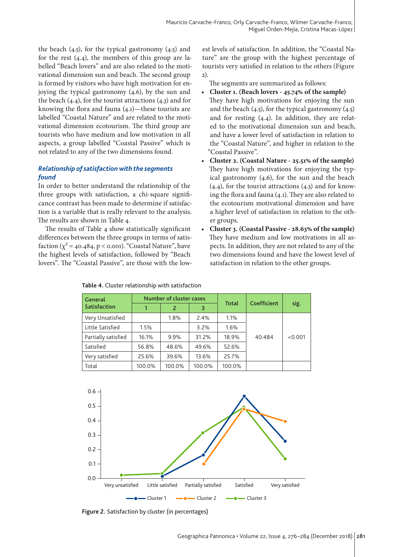the beach  $(4.5)$ , for the typical gastronomy  $(4.5)$  and for the rest (4.4), the members of this group are labelled "Beach lovers" and are also related to the motivational dimension sun and beach. The second group is formed by visitors who have high motivation for enjoying the typical gastronomy (4.6), by the sun and the beach (4.4), for the tourist attractions (4.3) and for knowing the flora and fauna (4.1)—these tourists are labelled "Coastal Nature" and are related to the motivational dimension ecotourism. The third group are tourists who have medium and low motivation in all aspects, a group labelled "Coastal Passive" which is not related to any of the two dimensions found.

# *Relationship of satisfaction with the segments found*

In order to better understand the relationship of the three groups with satisfaction, a chi-square significance contrast has been made to determine if satisfaction is a variable that is really relevant to the analysis. The results are shown in Table 4.

The results of Table 4 show statistically significant differences between the three groups in terms of satisfaction  $(\chi^2 = 40.484, p < 0.001)$ . "Coastal Nature", have the highest levels of satisfaction, followed by "Beach lovers". The "Coastal Passive", are those with the lowest levels of satisfaction. In addition, the "Coastal Nature" are the group with the highest percentage of tourists very satisfied in relation to the others (Figure 2).

The segments are summarized as follows:

- **Cluster 1. (Beach lovers 45.74% of the sample)** They have high motivations for enjoying the sun and the beach  $(4.5)$ , for the typical gastronomy  $(4.5)$ and for resting (4.4). In addition, they are related to the motivational dimension sun and beach, and have a lower level of satisfaction in relation to the "Coastal Nature", and higher in relation to the "Coastal Passive".
- **Cluster 2. (Coastal Nature 25.51% of the sample)** They have high motivations for enjoying the typical gastronomy (4.6), for the sun and the beach (4.4), for the tourist attractions (4.3) and for knowing the flora and fauna (4.1). They are also related to the ecotourism motivational dimension and have a higher level of satisfaction in relation to the other groups.
- **Cluster 3. (Coastal Passive 28.63% of the sample)** They have medium and low motivations in all aspects. In addition, they are not related to any of the two dimensions found and have the lowest level of satisfaction in relation to the other groups.

| General             |        |        | Number of cluster cases |              |             |         |
|---------------------|--------|--------|-------------------------|--------------|-------------|---------|
| <b>Satisfaction</b> | 1      | 2      | 3                       | <b>Total</b> | Coefficient | sig.    |
| Very Unsatisfied    |        | 1.8%   | 2.4%                    | 1.1%         | 40.484      | < 0.001 |
| Little Satisfied    | 1.5%   |        | $3.2\%$                 | 1.6%         |             |         |
| Partially satisfied | 16.1%  | 9.9%   | 31.2%                   | 18.9%        |             |         |
| Satisfied           | 56.8%  | 48.6%  | 49.6%                   | 52.6%        |             |         |
| Very satisfied      | 25.6%  | 39.6%  | 13.6%                   | 25.7%        |             |         |
| Total               | 100.0% | 100.0% | 100.0%                  | 100.0%       |             |         |

**Table 4.** Cluster relationship with satisfaction



**Figure 2.** Satisfaction by cluster (in percentages)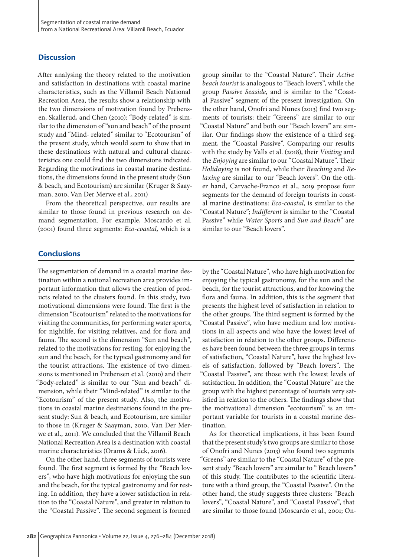#### **Discussion**

After analysing the theory related to the motivation and satisfaction in destinations with coastal marine characteristics, such as the Villamil Beach National Recreation Area, the results show a relationship with the two dimensions of motivation found by Prebensen, Skallerud, and Chen (2010): "Body-related" is similar to the dimension of "sun and beach" of the present study and "Mind- related" similar to "Ecotourism" of the present study, which would seem to show that in these destinations with natural and cultural characteristics one could find the two dimensions indicated. Regarding the motivations in coastal marine destinations, the dimensions found in the present study (Sun & beach, and Ecotourism) are similar (Kruger & Saayman, 2010, Van Der Merwe et al., 2011)

From the theoretical perspective, our results are similar to those found in previous research on demand segmentation. For example, Moscardo et al. (2001) found three segments: *Eco-coastal,* which is a

group similar to the "Coastal Nature". Their *Active beach tourist* is analogous to "Beach lovers", while the group *Passive Seaside,* and is similar to the "Coastal Passive" segment of the present investigation. On the other hand, Onofri and Nunes (2013) find two segments of tourists: their "Greens" are similar to our "Coastal Nature" and both our "Beach lovers" are similar. Our findings show the existence of a third segment, the "Coastal Passive". Comparing our results with the study by Valls et al. (2018), their *Visiting* and the *Enjoying* are similar to our "Coastal Nature". Their *Holidaying* is not found, while their *Beaching* and *Relaxing* are similar to our "Beach lovers". On the other hand, Carvache-Franco et al., 2019 propose four segments for the demand of foreign tourists in coastal marine destinations: *Eco-coastal*, is similar to the "Coastal Nature"; *Indifferent* is similar to the "Coastal Passive" while *Water Sports* and *Sun and Beach*" are similar to our "Beach lovers".

#### **Conclusions**

The segmentation of demand in a coastal marine destination within a national recreation area provides important information that allows the creation of products related to the clusters found. In this study, two motivational dimensions were found. The first is the dimension "Ecotourism" related to the motivations for visiting the communities, for performing water sports, for nightlife, for visiting relatives, and for flora and fauna. The second is the dimension "Sun and beach", related to the motivations for resting, for enjoying the sun and the beach, for the typical gastronomy and for the tourist attractions. The existence of two dimensions is mentioned in Prebensen et al. (2010) and their "Body-related" is similar to our "Sun and beach" dimension, while their "Mind-related" is similar to the "Ecotourism" of the present study. Also, the motivations in coastal marine destinations found in the present study: Sun & beach, and Ecotourism, are similar to those in (Kruger & Saayman, 2010, Van Der Merwe et al., 2011). We concluded that the Villamil Beach National Recreation Area is a destination with coastal marine characteristics (Orams & Lück, 2016).

On the other hand, three segments of tourists were found. The first segment is formed by the "Beach lovers", who have high motivations for enjoying the sun and the beach, for the typical gastronomy and for resting. In addition, they have a lower satisfaction in relation to the "Coastal Nature", and greater in relation to the "Coastal Passive". The second segment is formed

by the "Coastal Nature", who have high motivation for enjoying the typical gastronomy, for the sun and the beach, for the tourist attractions, and for knowing the flora and fauna. In addition, this is the segment that presents the highest level of satisfaction in relation to the other groups. The third segment is formed by the "Coastal Passive", who have medium and low motivations in all aspects and who have the lowest level of satisfaction in relation to the other groups. Differences have been found between the three groups in terms of satisfaction, "Coastal Nature", have the highest levels of satisfaction, followed by "Beach lovers". The "Coastal Passive", are those with the lowest levels of satisfaction. In addition, the "Coastal Nature" are the group with the highest percentage of tourists very satisfied in relation to the others. The findings show that the motivational dimension "ecotourism" is an important variable for tourists in a coastal marine destination.

As for theoretical implications, it has been found that the present study's two groups are similar to those of Onofri and Nunes (2013) who found two segments "Greens" are similar to the "Coastal Nature" of the present study "Beach lovers" are similar to " Beach lovers" of this study. The contributes to the scientific literature with a third group, the "Coastal Passive". On the other hand, the study suggests three clusters: "Beach lovers", "Coastal Nature", and "Coastal Passive", that are similar to those found (Moscardo et al., 2001; On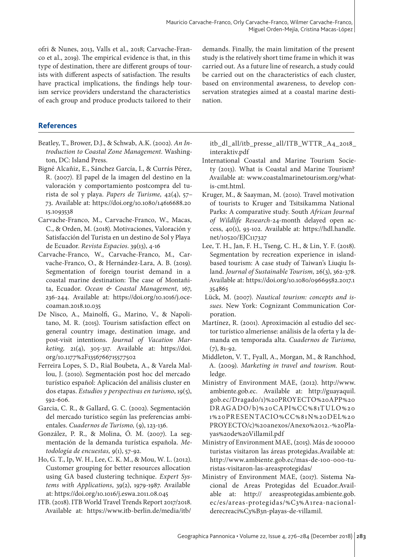ofri & Nunes, 2013, Valls et al., 2018; Carvache-Franco et al., 2019). The empirical evidence is that, in this type of destination, there are different groups of tourists with different aspects of satisfaction. The results have practical implications, the findings help tourism service providers understand the characteristics of each group and produce products tailored to their

# **References**

- Beatley, T., Brower, D.J., & Schwab, A.K. (2002). *An Introduction to Coastal Zone Management.* Washington, DC: Island Press.
- Bigné Alcañiz, E., Sánchez García, I., & Currás Pérez, R. (2007). El papel de la imagen del destino en la valoración y comportamiento postcompra del turista de sol y playa. *Papers de Turisme,* 42(4), 57– 73. Available at: https://doi.org/10.1080/14616688.20 15.1093538
- Carvache-Franco, M., Carvache-Franco, W., Macas, C., & Orden, M. (2018). Motivaciones, Valoración y Satisfacción del Turista en un destino de Sol y Playa de Ecuador. *Revista Espacios*. 39(13), 4-16
- Carvache-Franco, W., Carvache-Franco, M., Carvache-Franco, O., & Hernández-Lara, A. B. (2019). Segmentation of foreign tourist demand in a coastal marine destination: The case of Montañita, Ecuador. *Ocean & Coastal Management,* 167, 236-244. Available at: https://doi.org/10.1016/j.ocecoaman.2018.10.035
- De Nisco, A., Mainolfi, G., Marino, V., & Napolitano, M. R. (2015). Tourism satisfaction effect on general country image, destination image, and post-visit intentions. *Journal of Vacation Marketing,* 21(4), 305-317. Available at: https://doi. org/10.1177%2F1356766715577502
- Ferreira Lopes, S. D., Rial Boubeta, A., & Varela Mallou, J. (2010). Segmentación post hoc del mercado turístico español: Aplicación del análisis cluster en dos etapas. *Estudios y perspectivas en turismo*, 19(5), 592-606.
- Garcia, C. R., & Gallard, G. C. (2002). Segmentación del mercado turístico según las preferencias ambientales. *Cuadernos de Turismo,* (9), 123-136.
- González, P. R., & Molina, Ó. M. (2007). La segmentación de la demanda turística española. *Metodología de encuestas,* 9(1), 57-92.
- Ho, G. T., Ip, W. H., Lee, C. K. M., & Mou, W. L. (2012). Customer grouping for better resources allocation using GA based clustering technique. *Expert Systems with Applications*, 39(2), 1979-1987. Available at: https://doi.org/10.1016/j.eswa.2011.08.045
- ITB. (2018). ITB World Travel Trends Report 2017/2018. Available at: https://www.itb-berlin.de/media/itb/

demands. Finally, the main limitation of the present study is the relatively short time frame in which it was carried out. As a future line of research, a study could be carried out on the characteristics of each cluster, based on environmental awareness, to develop conservation strategies aimed at a coastal marine destination.

itb\_dl\_all/itb\_presse\_all/ITB\_WTTR\_A4\_2018\_ interaktiv.pdf

- International Coastal and Marine Tourism Society (2013). What is Coastal and Marine Tourism? Available at: www.coastalmarinetourism.org/whatis-cmt.html.
- Kruger, M., & Saayman, M. (2010). Travel motivation of tourists to Kruger and Tsitsikamma National Parks: A comparative study. South *African Journal of Wildlife Research-*24-month delayed open access, 40(1), 93-102. Available at: https://hdl.handle. net/10520/EJC117327
- Lee, T. H., Jan, F. H., Tseng, C. H., & Lin, Y. F. (2018). Segmentation by recreation experience in islandbased tourism: A case study of Taiwan's Liuqiu Island. *Journal of Sustainable Tourism,* 26(3), 362-378. Available at: https://doi.org/10.1080/09669582.2017.1 354865
- Lück, M. (2007). *Nautical tourism: concepts and issues.* New York: Cognizant Communication Corporation.
- Martínez, R. (2001). Aproximación al estudio del sector turístico almeriense: análisis de la oferta y la demanda en temporada alta. *Cuadernos de Turismo,*  $(7), 81-92.$
- Middleton, V. T., Fyall, A., Morgan, M., & Ranchhod, A. (2009). *Marketing in travel and tourism.* Routledge.
- Ministry of Environment MAE, (2012). http://www. ambiente.gob.ec. Available at: http://guayaquil. gob.ec/Dragado/1)%20PROYECTO%20APP%20 DRAGADO/b)%20CAPI%CC%81TULO%20 1%20PRESENTACIO%CC%81N%20DEL%20 PROYECTO/c)%20anexos/Anexo%2012.-%20Playas%20de%20Villamil.pdf
- Ministry of Environment MAE, (2015). Más de 100000 turistas visitaron las áreas protegidas.Available at: http://www.ambiente.gob.ec/mas-de-100-000-turistas-visitaron-las-areasprotegidas/
- Ministry of Environment MAE, (2017). Sistema Nacional de Areas Protegidas del Ecuador.Available at: http:// areasprotegidas.ambiente.gob. ec/es/areas-protegidas/%C3%A1rea-nacionalderecreaci%C3%B3n-playas-de-villamil.